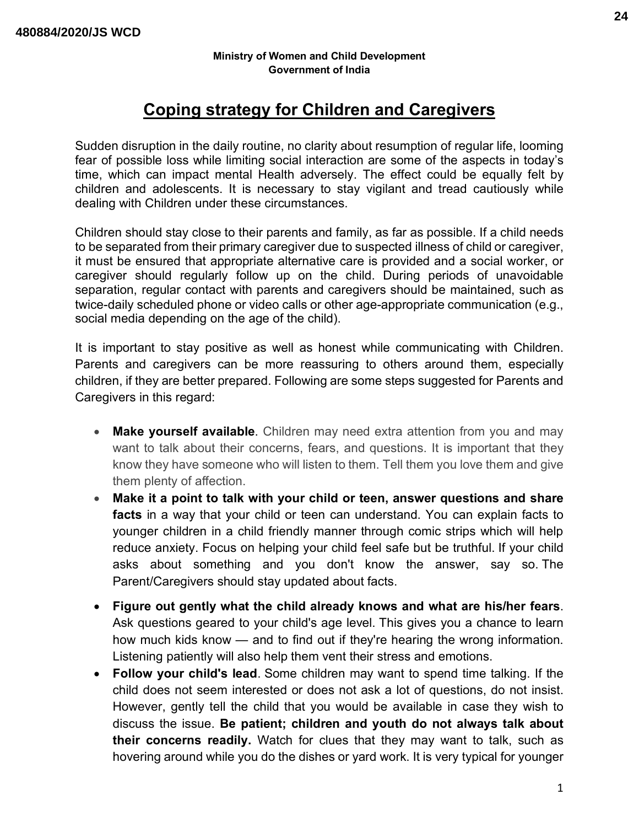# **Coping strategy for Children and Caregivers**

Sudden disruption in the daily routine, no clarity about resumption of regular life, looming fear of possible loss while limiting social interaction are some of the aspects in today's time, which can impact mental Health adversely. The effect could be equally felt by children and adolescents. It is necessary to stay vigilant and tread cautiously while dealing with Children under these circumstances.

Children should stay close to their parents and family, as far as possible. If a child needs to be separated from their primary caregiver due to suspected illness of child or caregiver, it must be ensured that appropriate alternative care is provided and a social worker, or caregiver should regularly follow up on the child. During periods of unavoidable separation, regular contact with parents and caregivers should be maintained, such as twice-daily scheduled phone or video calls or other age-appropriate communication (e.g., social media depending on the age of the child).

It is important to stay positive as well as honest while communicating with Children. Parents and caregivers can be more reassuring to others around them, especially children, if they are better prepared. Following are some steps suggested for Parents and Caregivers in this regard:

- **Make yourself available**. Children may need extra attention from you and may want to talk about their concerns, fears, and questions. It is important that they know they have someone who will listen to them. Tell them you love them and give them plenty of affection.
- **Make it a point to talk with your child or teen, answer questions and share facts** in a way that your child or teen can understand. You can explain facts to younger children in a child friendly manner through comic strips which will help reduce anxiety. Focus on helping your child feel safe but be truthful. If your child asks about something and you don't know the answer, say so. The Parent/Caregivers should stay updated about facts.
- **Figure out gently what the child already knows and what are his/her fears**. Ask questions geared to your child's age level. This gives you a chance to learn how much kids know — and to find out if they're hearing the wrong information. Listening patiently will also help them vent their stress and emotions.
- **Follow your child's lead**. Some children may want to spend time talking. If the child does not seem interested or does not ask a lot of questions, do not insist. However, gently tell the child that you would be available in case they wish to discuss the issue. **Be patient; children and youth do not always talk about their concerns readily.** Watch for clues that they may want to talk, such as hovering around while you do the dishes or yard work. It is very typical for younger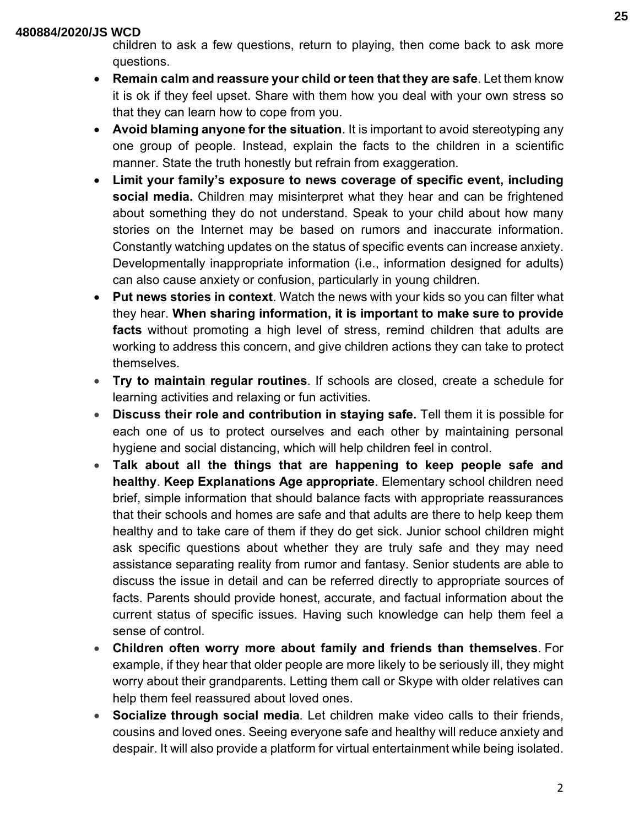#### **480884/2020/JS WCD**

children to ask a few questions, return to playing, then come back to ask more questions.

- **Remain calm and reassure your child or teen that they are safe**. Let them know it is ok if they feel upset. Share with them how you deal with your own stress so that they can learn how to cope from you.
- **Avoid blaming anyone for the situation**. It is important to avoid stereotyping any one group of people. Instead, explain the facts to the children in a scientific manner. State the truth honestly but refrain from exaggeration.
- **Limit your family's exposure to news coverage of specific event, including social media.** Children may misinterpret what they hear and can be frightened about something they do not understand. Speak to your child about how many stories on the Internet may be based on rumors and inaccurate information. Constantly watching updates on the status of specific events can increase anxiety. Developmentally inappropriate information (i.e., information designed for adults) can also cause anxiety or confusion, particularly in young children.
- **Put news stories in context**. Watch the news with your kids so you can filter what they hear. **When sharing information, it is important to make sure to provide facts** without promoting a high level of stress, remind children that adults are working to address this concern, and give children actions they can take to protect themselves.
- **Try to maintain regular routines**. If schools are closed, create a schedule for learning activities and relaxing or fun activities.
- **Discuss their role and contribution in staying safe.** Tell them it is possible for each one of us to protect ourselves and each other by maintaining personal hygiene and social distancing, which will help children feel in control.
- **Talk about all the things that are happening to keep people safe and healthy**. **Keep Explanations Age appropriate**. Elementary school children need brief, simple information that should balance facts with appropriate reassurances that their schools and homes are safe and that adults are there to help keep them healthy and to take care of them if they do get sick. Junior school children might ask specific questions about whether they are truly safe and they may need assistance separating reality from rumor and fantasy. Senior students are able to discuss the issue in detail and can be referred directly to appropriate sources of facts. Parents should provide honest, accurate, and factual information about the current status of specific issues. Having such knowledge can help them feel a sense of control.
- **Children often worry more about family and friends than themselves**. For example, if they hear that older people are more likely to be seriously ill, they might worry about their grandparents. Letting them call or Skype with older relatives can help them feel reassured about loved ones.
- **Socialize through social media**. Let children make video calls to their friends, cousins and loved ones. Seeing everyone safe and healthy will reduce anxiety and despair. It will also provide a platform for virtual entertainment while being isolated.